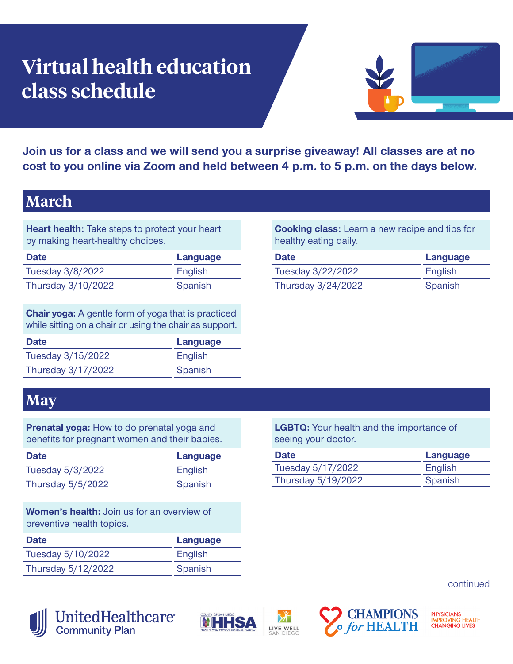# **Virtual health education class schedule**



**Join us for a class and we will send you a surprise giveaway! All classes are at no cost to you online via Zoom and held between 4 p.m. to 5 p.m. on the days below.** 

## **March**

**Heart health:** Take steps to protect your heart by making heart-healthy choices.

| <b>Date</b>        | Language |
|--------------------|----------|
| Tuesday 3/8/2022   | English  |
| Thursday 3/10/2022 | Spanish  |

**Chair yoga:** A gentle form of yoga that is practiced while sitting on a chair or using the chair as support.

| <b>Date</b>        | Language |
|--------------------|----------|
| Tuesday 3/15/2022  | English  |
| Thursday 3/17/2022 | Spanish  |
|                    |          |

**Cooking class:** Learn a new recipe and tips for healthy eating daily.

| <b>Date</b>        | Language |
|--------------------|----------|
| Tuesday 3/22/2022  | English  |
| Thursday 3/24/2022 | Spanish  |

#### **May**

**Prenatal yoga:** How to do prenatal yoga and benefits for pregnant women and their babies.

| Date              | Language |
|-------------------|----------|
| Tuesday 5/3/2022  | English  |
| Thursday 5/5/2022 | Spanish  |

**Women's health:** Join us for an overview of preventive health topics.

| <b>Date</b>        | Language |
|--------------------|----------|
| Tuesday 5/10/2022  | English  |
| Thursday 5/12/2022 | Spanish  |

**LGBTQ:** Your health and the importance of seeing your doctor.

| <b>Date</b>        | Language |
|--------------------|----------|
| Tuesday 5/17/2022  | English  |
| Thursday 5/19/2022 | Spanish  |

continued



**UnitedHealthcare**® **Community Plan**